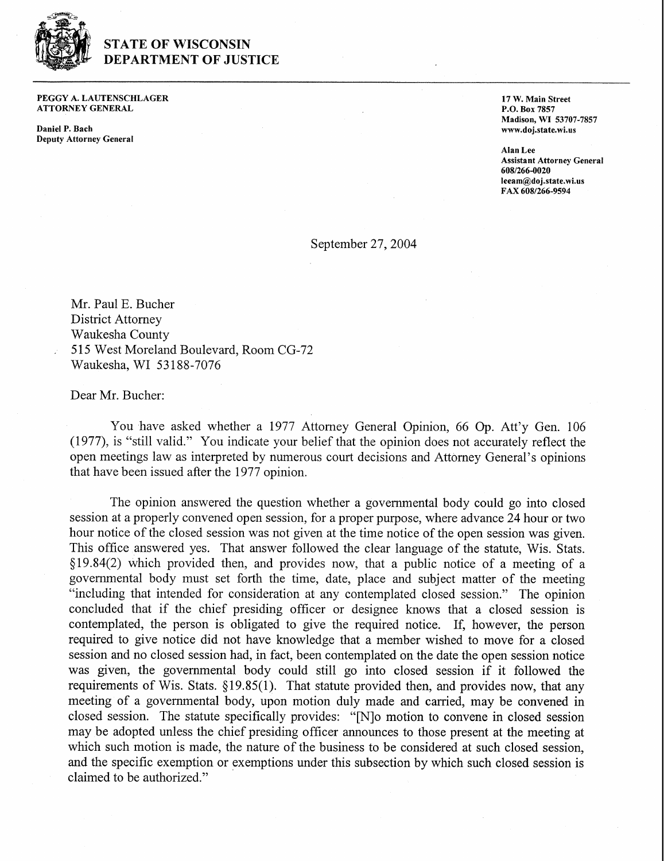

## **STATE OF WISCONSIN DEPARTMENT OF JUSTICE**

**PEGGY A. LAUTENSCHLAGER ATTORNEY GENERAL** 

**Daniel P. Bach Deputy Attorney General** 

**17 W. Main Street P.O. Box 7857 Madison, WI 53707-7857 www.doj.state.wi.us** 

**Alan Lee Assistant Attorney General 608f266-0020 Ieeam@doj.state.wi.us FAX 6081266-9594** 

September 27,2004

Mr. Paul E. Bucher District Attorney Waukesha County . 515 West Moreland Boulevard, Room CG-72 Waukesha, WI 53 188-7076

Dear Mr. Bucher:

You have asked whether a 1977 Attorney General Opinion, 66 Op. Att'y Gen. 106 (1977), is "still valid." You indicate your belief that the opinion does not accurately reflect the open meetings law as interpreted by numerous court decisions and Attorney General's opinions that have been issued after the 1977 opinion.

The opinion answered the question whether a governmental body could go into closed session at a properly convened open session, for a proper purpose, where advance 24 hour or two hour notice of the closed session was not given at the time notice of the open session was given. This office answered yes. That answer followed the clear language of the statute, Wis. Stats. §19.84(2) which provided then, and provides now, that a public notice of a meeting of a governmental body must set forth the time, date, place and subject matter of the meeting "including that intended for consideration at any contemplated closed session." The opinion concluded that if the chief presiding officer or designee knows that a closed session is contemplated, the person is obligated to give the required notice. If, however, the person required to give notice did not have knowledge that a member wished to move for a closed session and no closed session had, in fact, been contemplated on the date the open session notice was given, the governmental body could still go into closed session if it followed the requirements of Wis. Stats. \$19.85(1). That statute provided then, and provides now, that any meeting of a governmental body, upon motion duly made and carried, may be convened in closed session. The statute specifically provides: "[Nlo motion to convene in closed session may be adopted unless the chief presiding officer announces to those present at the meeting at which such motion is made, the nature of the business to be considered at such closed session, and the specific exemption or exemptions under this subsection by which such closed session is claimed to be authorized."